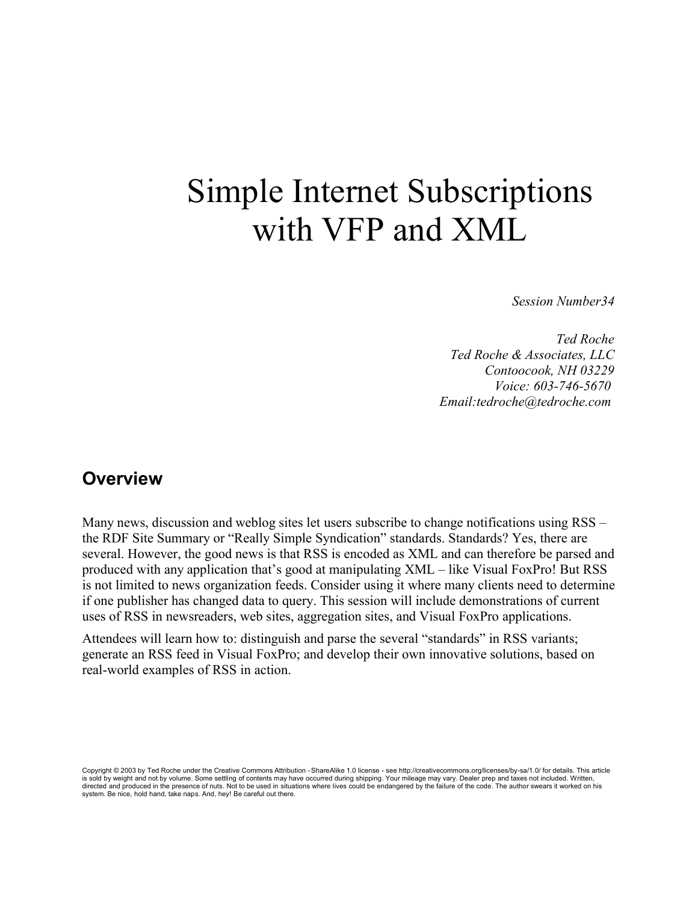# Simple Internet Subscriptions with VFP and XML

*Session Number34*

*Ted Roche Ted Roche & Associates, LLC Contoocook, NH 03229 Voice: 603-746-5670 Email:tedroche@tedroche.com* 

#### **Overview**

Many news, discussion and weblog sites let users subscribe to change notifications using RSS – the RDF Site Summary or "Really Simple Syndication" standards. Standards? Yes, there are several. However, the good news is that RSS is encoded as XML and can therefore be parsed and produced with any application that's good at manipulating XML – like Visual FoxPro! But RSS is not limited to news organization feeds. Consider using it where many clients need to determine if one publisher has changed data to query. This session will include demonstrations of current uses of RSS in newsreaders, web sites, aggregation sites, and Visual FoxPro applications.

Attendees will learn how to: distinguish and parse the several "standards" in RSS variants; generate an RSS feed in Visual FoxPro; and develop their own innovative solutions, based on real-world examples of RSS in action.

Copyright © 2003 by Ted Roche under the Creative Commons Attribution - ShareAlike 1.0 license - see http://creativecommons.org/licenses/by-sa/1.0/ for details. This article is sold by weight and not by volume. Some settling of contents may have occurred during shipping. Your mileage may vary. Dealer prep and taxes not included. Written,<br>directed and produced in the presence of nuts. Not to be system. Be nice, hold hand, take naps. And, hey! Be careful out there.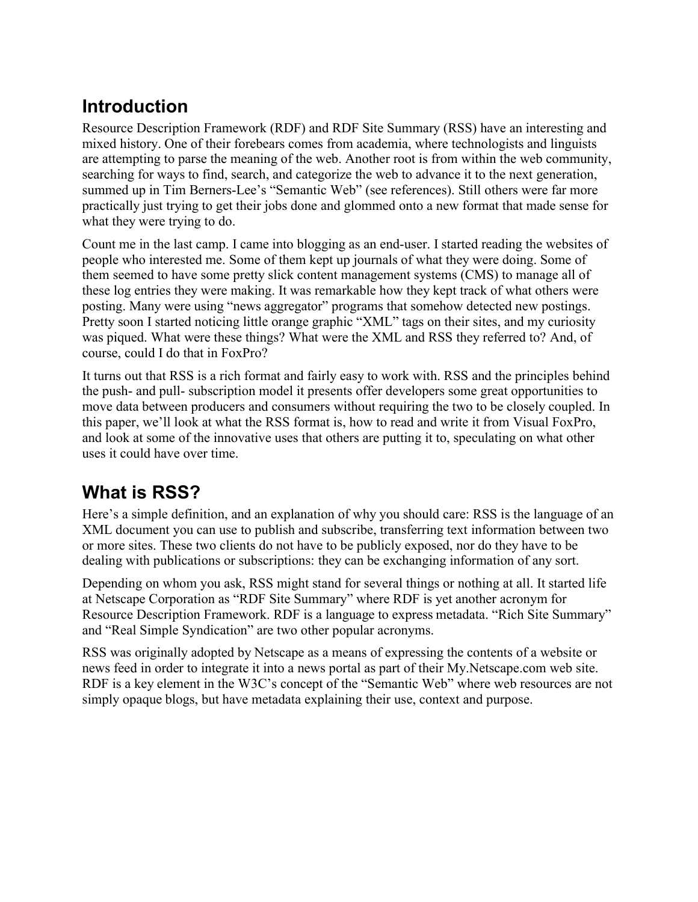# **Introduction**

Resource Description Framework (RDF) and RDF Site Summary (RSS) have an interesting and mixed history. One of their forebears comes from academia, where technologists and linguists are attempting to parse the meaning of the web. Another root is from within the web community, searching for ways to find, search, and categorize the web to advance it to the next generation, summed up in Tim Berners-Lee's "Semantic Web" (see references). Still others were far more practically just trying to get their jobs done and glommed onto a new format that made sense for what they were trying to do.

Count me in the last camp. I came into blogging as an end-user. I started reading the websites of people who interested me. Some of them kept up journals of what they were doing. Some of them seemed to have some pretty slick content management systems (CMS) to manage all of these log entries they were making. It was remarkable how they kept track of what others were posting. Many were using "news aggregator" programs that somehow detected new postings. Pretty soon I started noticing little orange graphic "XML" tags on their sites, and my curiosity was piqued. What were these things? What were the XML and RSS they referred to? And, of course, could I do that in FoxPro?

It turns out that RSS is a rich format and fairly easy to work with. RSS and the principles behind the push- and pull- subscription model it presents offer developers some great opportunities to move data between producers and consumers without requiring the two to be closely coupled. In this paper, we'll look at what the RSS format is, how to read and write it from Visual FoxPro, and look at some of the innovative uses that others are putting it to, speculating on what other uses it could have over time.

# **What is RSS?**

Here's a simple definition, and an explanation of why you should care: RSS is the language of an XML document you can use to publish and subscribe, transferring text information between two or more sites. These two clients do not have to be publicly exposed, nor do they have to be dealing with publications or subscriptions: they can be exchanging information of any sort.

Depending on whom you ask, RSS might stand for several things or nothing at all. It started life at Netscape Corporation as "RDF Site Summary" where RDF is yet another acronym for Resource Description Framework. RDF is a language to express metadata. "Rich Site Summary" and "Real Simple Syndication" are two other popular acronyms.

RSS was originally adopted by Netscape as a means of expressing the contents of a website or news feed in order to integrate it into a news portal as part of their My.Netscape.com web site. RDF is a key element in the W3C's concept of the "Semantic Web" where web resources are not simply opaque blogs, but have metadata explaining their use, context and purpose.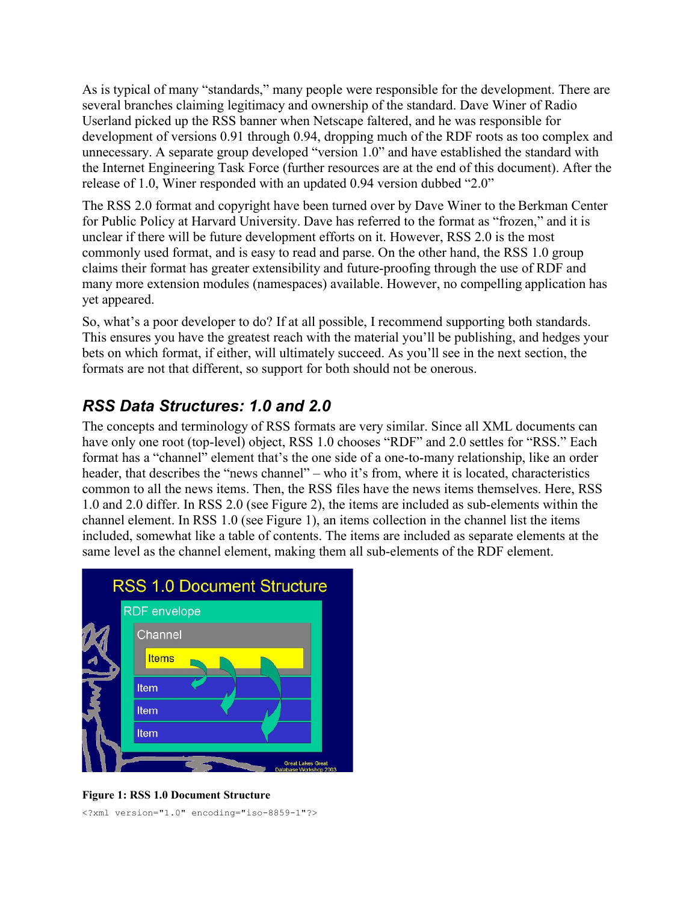As is typical of many "standards," many people were responsible for the development. There are several branches claiming legitimacy and ownership of the standard. Dave Winer of Radio Userland picked up the RSS banner when Netscape faltered, and he was responsible for development of versions 0.91 through 0.94, dropping much of the RDF roots as too complex and unnecessary. A separate group developed "version 1.0" and have established the standard with the Internet Engineering Task Force (further resources are at the end of this document). After the release of 1.0, Winer responded with an updated 0.94 version dubbed "2.0"

The RSS 2.0 format and copyright have been turned over by Dave Winer to the Berkman Center for Public Policy at Harvard University. Dave has referred to the format as "frozen," and it is unclear if there will be future development efforts on it. However, RSS 2.0 is the most commonly used format, and is easy to read and parse. On the other hand, the RSS 1.0 group claims their format has greater extensibility and future-proofing through the use of RDF and many more extension modules (namespaces) available. However, no compelling application has yet appeared.

So, what's a poor developer to do? If at all possible, I recommend supporting both standards. This ensures you have the greatest reach with the material you'll be publishing, and hedges your bets on which format, if either, will ultimately succeed. As you'll see in the next section, the formats are not that different, so support for both should not be onerous.

#### *RSS Data Structures: 1.0 and 2.0*

The concepts and terminology of RSS formats are very similar. Since all XML documents can have only one root (top-level) object, RSS 1.0 chooses "RDF" and 2.0 settles for "RSS." Each format has a "channel" element that's the one side of a one-to-many relationship, like an order header, that describes the "news channel" – who it's from, where it is located, characteristics common to all the news items. Then, the RSS files have the news items themselves. Here, RSS 1.0 and 2.0 differ. In RSS 2.0 (see Figure 2), the items are included as sub-elements within the channel element. In RSS 1.0 (see Figure 1), an items collection in the channel list the items included, somewhat like a table of contents. The items are included as separate elements at the same level as the channel element, making them all sub-elements of the RDF element.



**Figure 1: RSS 1.0 Document Structure**

<?xml version="1.0" encoding="iso-8859-1"?>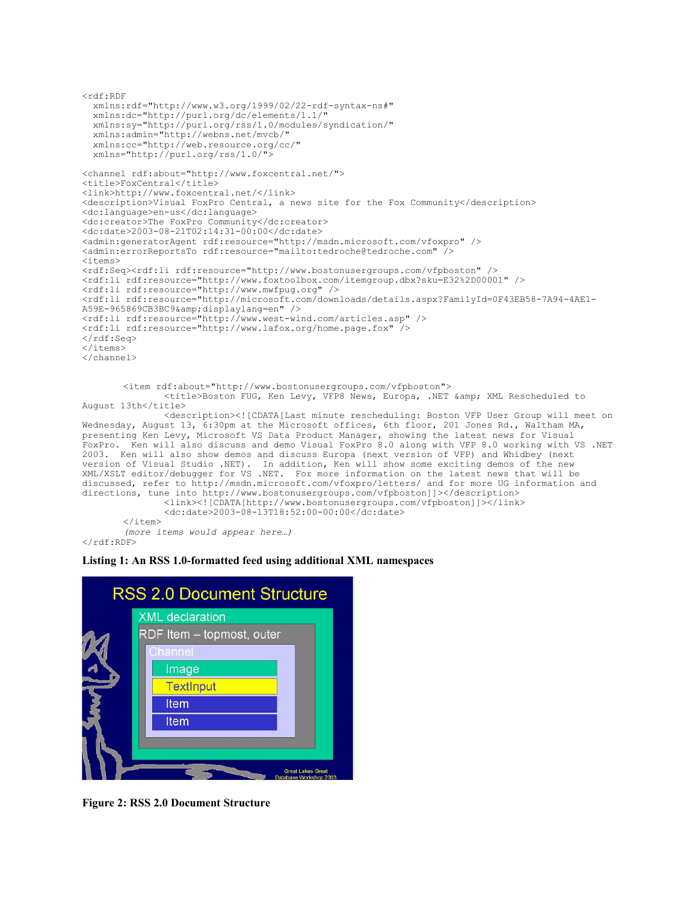```
<rdf:RDF
  xmlns:rdf="http://www.w3.org/1999/02/22-rdf-syntax-ns#"
 xmlns:dc="http://purl.org/dc/elements/1.1/"
 xmlns:sy="http://purl.org/rss/1.0/modules/syndication/"
   xmlns:admin="http://webns.net/mvcb/"
   xmlns:cc="http://web.resource.org/cc/"
  xmlns="http://purl.org/rss/1.0/">
<channel rdf:about="http://www.foxcentral.net/">
<title>FoxCentral</title>
<link>http://www.foxcentral.net/</link>
<description>Visual FoxPro Central, a news site for the Fox Community</description>
<dc:language>en-us</dc:language>
<dc:creator>The FoxPro Community</dc:creator>
<dc:date>2003-08-21T02:14:31-00:00</dc:date>
<admin:generatorAgent rdf:resource="http://msdn.microsoft.com/vfoxpro" />
<admin:errorReportsTo rdf:resource="mailto:tedroche@tedroche.com" />
<items>
<rdf:Seq><rdf:li rdf:resource="http://www.bostonusergroups.com/vfpboston" />
<rdf:li rdf:resource="http://www.foxtoolbox.com/itemgroup.dbx?sku=E32%2D00001" />
<rdf:li rdf:resource="http://www.mwfpug.org" />
<rdf:li rdf:resource="http://microsoft.com/downloads/details.aspx?FamilyId=0F43EB58-7A94-4AE1-
A59E-965869CB3BC9&displaylang=en" />
<rdf:li rdf:resource="http://www.west-wind.com/articles.asp" />
<rdf:li rdf:resource="http://www.lafox.org/home.page.fox" />
\langle/rdf:Seq>
</items>
</channel>
       <item rdf:about="http://www.bostonusergroups.com/vfpboston">
               <title>Boston FUG, Ken Levy, VFP8 News, Europa, .NET &amp; XML Rescheduled to
August 13th</title>
               <description><![CDATA[Last minute rescheduling: Boston VFP User Group will meet on
Wednesday, August 13, 6:30pm at the Microsoft offices, 6th floor, 201 Jones Rd., Waltham MA,
presenting Ken Levy, Microsoft VS Data Product Manager, showing the latest news for Visual
FoxPro. Ken will also discuss and demo Visual FoxPro 8.0 along with VFP 8.0 working with VS .NET
2003. Ken will also show demos and discuss Europa (next version of VFP) and Whidbey (next
version of Visual Studio .NET). In addition, Ken will show some exciting demos of the new
XML/XSLT editor/debugger for VS .NET. For more information on the latest news that will be
discussed, refer to http://msdn.microsoft.com/vfoxpro/letters/ and for more UG information and
directions, tune into http://www.bostonusergroups.com/vfpboston]]></description>
               <link><![CDATA[http://www.bostonusergroups.com/vfpboston]]></link>
```

```
<dc:date>2003-08-13T18:52:00-00:00</dc:date>
        \langleitem\rangle(more items would appear here…)
\langle/rdf:RDF>
```
#### **Listing 1: An RSS 1.0-formatted feed using additional XML namespaces**



**Figure 2: RSS 2.0 Document Structure**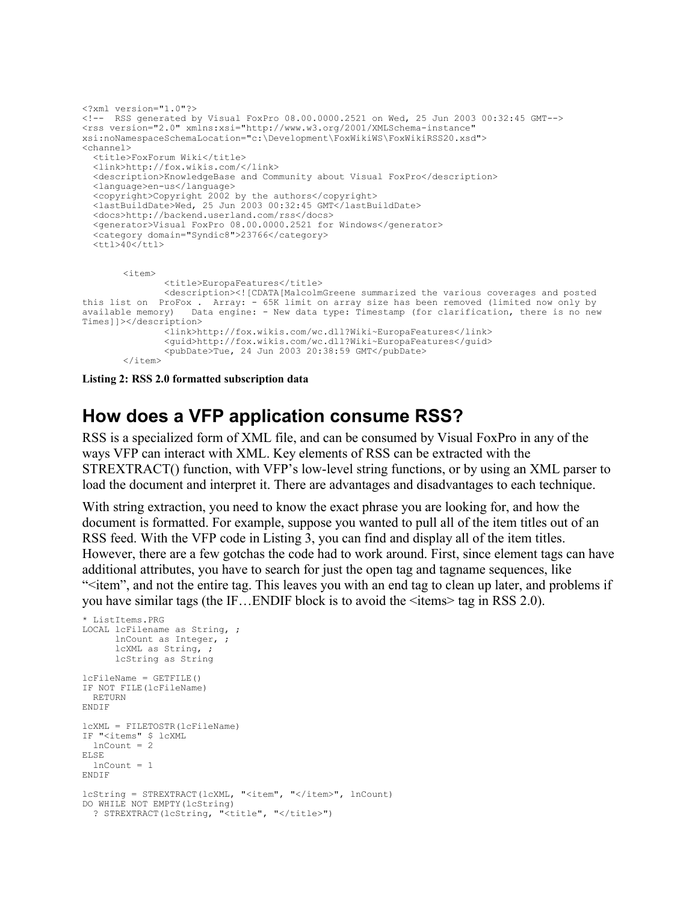```
<?xml version="1.0"?> 
<!-- RSS generated by Visual FoxPro 08.00.0000.2521 on Wed, 25 Jun 2003 00:32:45 GMT--> 
<rss version="2.0" xmlns:xsi="http://www.w3.org/2001/XMLSchema-instance"
xsi:noNamespaceSchemaLocation="c:\Development\FoxWikiWS\FoxWikiRSS20.xsd">
<channel>
  <title>FoxForum Wiki</title> 
  <link>http://fox.wikis.com/</link> 
  <description>KnowledgeBase and Community about Visual FoxPro</description> 
   <language>en-us</language> 
   <copyright>Copyright 2002 by the authors</copyright> 
   <lastBuildDate>Wed, 25 Jun 2003 00:32:45 GMT</lastBuildDate> 
   <docs>http://backend.userland.com/rss</docs> 
   <generator>Visual FoxPro 08.00.0000.2521 for Windows</generator> 
   <category domain="Syndic8">23766</category> 
 <ttl>40</ttl>
       \langleitem\rangle<title>EuropaFeatures</title>
               <description><![CDATA[MalcolmGreene summarized the various coverages and posted
this list on ProFox . Array: - 65K limit on array size has been removed (limited now only by
available memory) Data engine: - New data type: Timestamp (for clarification, there is no new
Times]]></description>
               <link>http://fox.wikis.com/wc.dll?Wiki~EuropaFeatures</link>
               <guid>http://fox.wikis.com/wc.dll?Wiki~EuropaFeatures</guid>
               <pubDate>Tue, 24 Jun 2003 20:38:59 GMT</pubDate>
       \langle/item>
```
**Listing 2: RSS 2.0 formatted subscription data**

## **How does a VFP application consume RSS?**

RSS is a specialized form of XML file, and can be consumed by Visual FoxPro in any of the ways VFP can interact with XML. Key elements of RSS can be extracted with the STREXTRACT() function, with VFP's low-level string functions, or by using an XML parser to load the document and interpret it. There are advantages and disadvantages to each technique.

With string extraction, you need to know the exact phrase you are looking for, and how the document is formatted. For example, suppose you wanted to pull all of the item titles out of an RSS feed. With the VFP code in Listing 3, you can find and display all of the item titles. However, there are a few gotchas the code had to work around. First, since element tags can have additional attributes, you have to search for just the open tag and tagname sequences, like "<item", and not the entire tag. This leaves you with an end tag to clean up later, and problems if you have similar tags (the IF…ENDIF block is to avoid the <items> tag in RSS 2.0).

```
* ListItems.PRG
LOCAL lcFilename as String, ;
      lnCount as Integer, ;
       lcXML as String, ;
      lcString as String
lcFileName = GETFILE()
IF NOT FILE(lcFileName)
  RETURN
ENDIF
lcXML = FILETOSTR(lcFileName)
IF "<items" $ lcXML
  lnCount = 2
ELSE
 lnCount = 1ENDIF
lcString = STREXTRACT(lcXML, "<item", "</item>", lnCount)
DO WHILE NOT EMPTY(lcString)
  ? STREXTRACT(lcString, "<title", "</title>")
```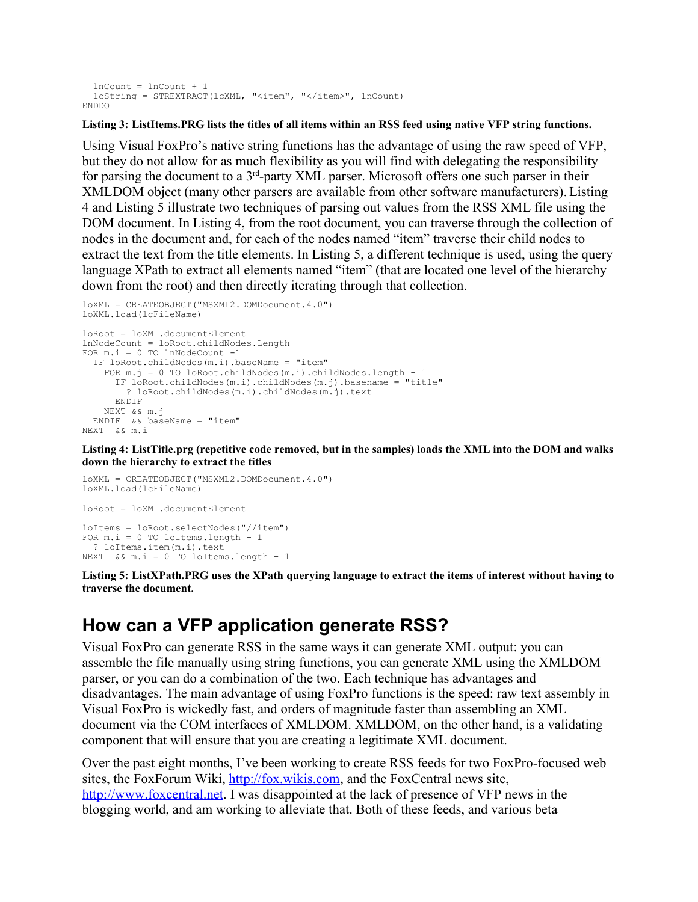```
 lnCount = lnCount + 1
  lcString = STREXTRACT(lcXML, "<item", "</item>", lnCount)
ENDDO
```
#### **Listing 3: ListItems.PRG lists the titles of all items within an RSS feed using native VFP string functions.**

Using Visual FoxPro's native string functions has the advantage of using the raw speed of VFP, but they do not allow for as much flexibility as you will find with delegating the responsibility for parsing the document to a  $3<sup>rd</sup>$ -party XML parser. Microsoft offers one such parser in their XMLDOM object (many other parsers are available from other software manufacturers). Listing 4 and Listing 5 illustrate two techniques of parsing out values from the RSS XML file using the DOM document. In Listing 4, from the root document, you can traverse through the collection of nodes in the document and, for each of the nodes named "item" traverse their child nodes to extract the text from the title elements. In Listing 5, a different technique is used, using the query language XPath to extract all elements named "item" (that are located one level of the hierarchy down from the root) and then directly iterating through that collection.

```
loXML = CREATEOBJECT("MSXML2.DOMDocument.4.0")
loXML.load(lcFileName)
loRoot = loXML.documentElement
lnNodeCount = loRoot.childNodes.Length
FOR m.i = 0 TO lnNodeCount -1
   IF loRoot.childNodes(m.i).baseName = "item"
    FOR m, j = 0 TO loRoot.childNodes(m, i).childNodes.length - 1
      IF loRoot.childNodes(m.i).childNodes(m.j).basename = "title"
         ? loRoot.childNodes(m.i).childNodes(m.j).text
      ENDIF
    NEXT && m.j
  ENDIF && baseName = "item"
NEXT && m.i
```
**Listing 4: ListTitle.prg (repetitive code removed, but in the samples) loads the XML into the DOM and walks down the hierarchy to extract the titles**

```
loXML = CREATEOBJECT("MSXML2.DOMDocument.4.0")
loXML.load(lcFileName)
loRoot = loXML.documentElement
loItems = loRoot.selectNodes("//item")
FOR m.i = 0 TO loItems.length - 1
  ? loItems.item(m.i).text
NEXT && m.i = 0 TO loItems.length - 1
```
**Listing 5: ListXPath.PRG uses the XPath querying language to extract the items of interest without having to traverse the document.**

#### **How can a VFP application generate RSS?**

Visual FoxPro can generate RSS in the same ways it can generate XML output: you can assemble the file manually using string functions, you can generate XML using the XMLDOM parser, or you can do a combination of the two. Each technique has advantages and disadvantages. The main advantage of using FoxPro functions is the speed: raw text assembly in Visual FoxPro is wickedly fast, and orders of magnitude faster than assembling an XML document via the COM interfaces of XMLDOM. XMLDOM, on the other hand, is a validating component that will ensure that you are creating a legitimate XML document.

Over the past eight months, I've been working to create RSS feeds for two FoxPro-focused web sites, the FoxForum Wiki, http://fox.wikis.com, and the FoxCentral news site, http://www.foxcentral.net. I was disappointed at the lack of presence of VFP news in the blogging world, and am working to alleviate that. Both of these feeds, and various beta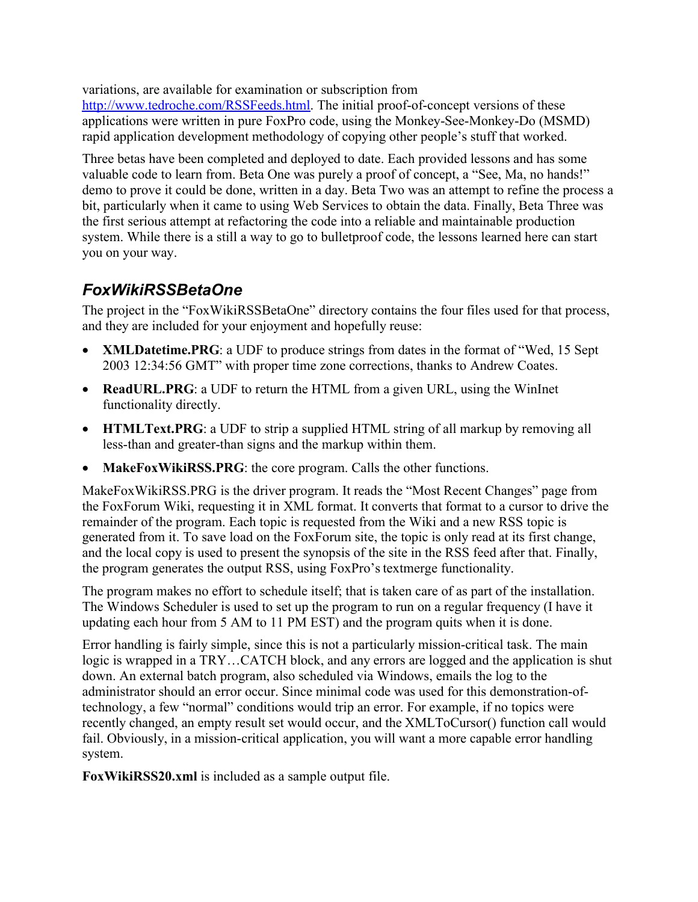variations, are available for examination or subscription from

http://www.tedroche.com/RSSFeeds.html. The initial proof-of-concept versions of these applications were written in pure FoxPro code, using the Monkey-See-Monkey-Do (MSMD) rapid application development methodology of copying other people's stuff that worked.

Three betas have been completed and deployed to date. Each provided lessons and has some valuable code to learn from. Beta One was purely a proof of concept, a "See, Ma, no hands!" demo to prove it could be done, written in a day. Beta Two was an attempt to refine the process a bit, particularly when it came to using Web Services to obtain the data. Finally, Beta Three was the first serious attempt at refactoring the code into a reliable and maintainable production system. While there is a still a way to go to bulletproof code, the lessons learned here can start you on your way.

#### *FoxWikiRSSBetaOne*

The project in the "FoxWikiRSSBetaOne" directory contains the four files used for that process, and they are included for your enjoyment and hopefully reuse:

- **XMLDatetime.PRG**: a UDF to produce strings from dates in the format of "Wed, 15 Sept 2003 12:34:56 GMT" with proper time zone corrections, thanks to Andrew Coates.
- **ReadURL.PRG**: a UDF to return the HTML from a given URL, using the WinInet functionality directly.
- **HTMLText.PRG**: a UDF to strip a supplied HTML string of all markup by removing all less-than and greater-than signs and the markup within them.
- **MakeFoxWikiRSS.PRG**: the core program. Calls the other functions.

MakeFoxWikiRSS.PRG is the driver program. It reads the "Most Recent Changes" page from the FoxForum Wiki, requesting it in XML format. It converts that format to a cursor to drive the remainder of the program. Each topic is requested from the Wiki and a new RSS topic is generated from it. To save load on the FoxForum site, the topic is only read at its first change, and the local copy is used to present the synopsis of the site in the RSS feed after that. Finally, the program generates the output RSS, using FoxPro's textmerge functionality.

The program makes no effort to schedule itself; that is taken care of as part of the installation. The Windows Scheduler is used to set up the program to run on a regular frequency (I have it updating each hour from 5 AM to 11 PM EST) and the program quits when it is done.

Error handling is fairly simple, since this is not a particularly mission-critical task. The main logic is wrapped in a TRY…CATCH block, and any errors are logged and the application is shut down. An external batch program, also scheduled via Windows, emails the log to the administrator should an error occur. Since minimal code was used for this demonstration-oftechnology, a few "normal" conditions would trip an error. For example, if no topics were recently changed, an empty result set would occur, and the XMLToCursor() function call would fail. Obviously, in a mission-critical application, you will want a more capable error handling system.

**FoxWikiRSS20.xml** is included as a sample output file.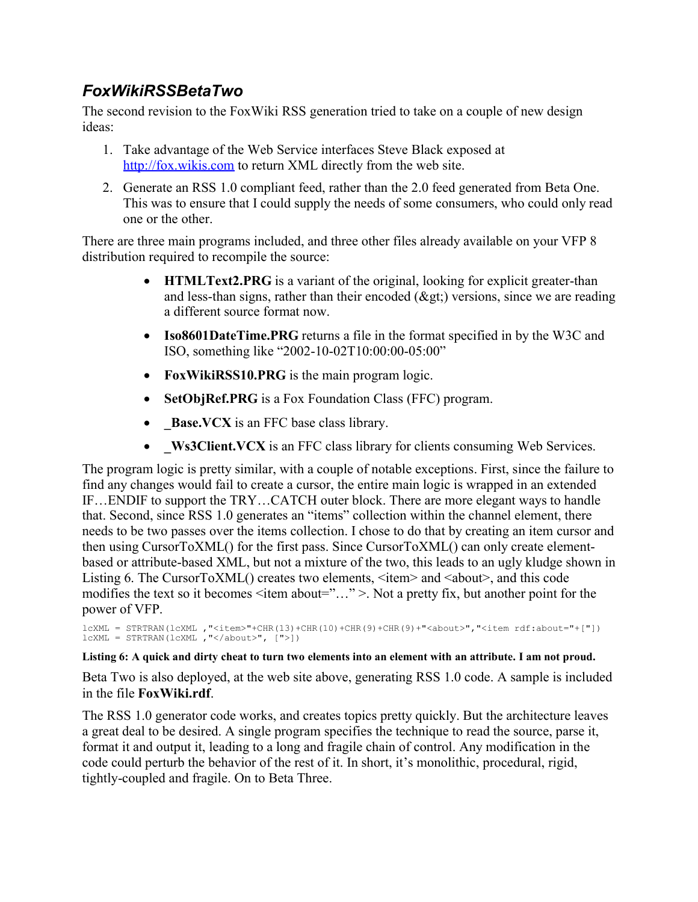#### *FoxWikiRSSBetaTwo*

The second revision to the FoxWiki RSS generation tried to take on a couple of new design ideas:

- 1. Take advantage of the Web Service interfaces Steve Black exposed at http://fox.wikis.com to return XML directly from the web site.
- 2. Generate an RSS 1.0 compliant feed, rather than the 2.0 feed generated from Beta One. This was to ensure that I could supply the needs of some consumers, who could only read one or the other.

There are three main programs included, and three other files already available on your VFP 8 distribution required to recompile the source:

- **HTMLText2.PRG** is a variant of the original, looking for explicit greater-than and less-than signs, rather than their encoded  $(\&$ gt;) versions, since we are reading a different source format now.
- **Iso8601DateTime.PRG** returns a file in the format specified in by the W3C and ISO, something like "2002-10-02T10:00:00-05:00"
- **FoxWikiRSS10.PRG** is the main program logic.
- SetObjRef.PRG is a Fox Foundation Class (FFC) program.
- **• \_Base.VCX** is an FFC base class library.
- **\_Ws3Client.VCX** is an FFC class library for clients consuming Web Services.

The program logic is pretty similar, with a couple of notable exceptions. First, since the failure to find any changes would fail to create a cursor, the entire main logic is wrapped in an extended IF…ENDIF to support the TRY…CATCH outer block. There are more elegant ways to handle that. Second, since RSS 1.0 generates an "items" collection within the channel element, there needs to be two passes over the items collection. I chose to do that by creating an item cursor and then using CursorToXML() for the first pass. Since CursorToXML() can only create elementbased or attribute-based XML, but not a mixture of the two, this leads to an ugly kludge shown in Listing 6. The CursorToXML() creates two elements,  $\leq$ item $>$  and  $\leq$ about $>$ , and this code modifies the text so it becomes <item about="..." >. Not a pretty fix, but another point for the power of VFP.

```
lcXML = STRTRAN(lcXML ,"<item>"+CHR(13)+CHR(10)+CHR(9)+CHR(9)+"<about>","<item rdf:about="+["])
lcXML = STRTRAN(lcXML ,"</about>", [">])
```
**Listing 6: A quick and dirty cheat to turn two elements into an element with an attribute. I am not proud.**

Beta Two is also deployed, at the web site above, generating RSS 1.0 code. A sample is included in the file **FoxWiki.rdf**.

The RSS 1.0 generator code works, and creates topics pretty quickly. But the architecture leaves a great deal to be desired. A single program specifies the technique to read the source, parse it, format it and output it, leading to a long and fragile chain of control. Any modification in the code could perturb the behavior of the rest of it. In short, it's monolithic, procedural, rigid, tightly-coupled and fragile. On to Beta Three.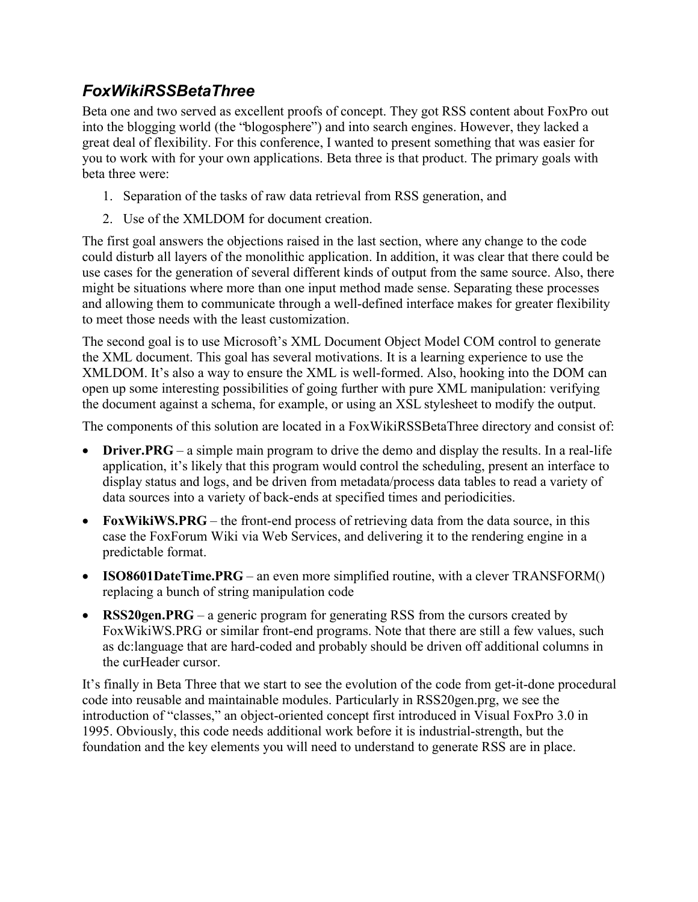#### *FoxWikiRSSBetaThree*

Beta one and two served as excellent proofs of concept. They got RSS content about FoxPro out into the blogging world (the "blogosphere") and into search engines. However, they lacked a great deal of flexibility. For this conference, I wanted to present something that was easier for you to work with for your own applications. Beta three is that product. The primary goals with beta three were:

- 1. Separation of the tasks of raw data retrieval from RSS generation, and
- 2. Use of the XMLDOM for document creation.

The first goal answers the objections raised in the last section, where any change to the code could disturb all layers of the monolithic application. In addition, it was clear that there could be use cases for the generation of several different kinds of output from the same source. Also, there might be situations where more than one input method made sense. Separating these processes and allowing them to communicate through a well-defined interface makes for greater flexibility to meet those needs with the least customization.

The second goal is to use Microsoft's XML Document Object Model COM control to generate the XML document. This goal has several motivations. It is a learning experience to use the XMLDOM. It's also a way to ensure the XML is well-formed. Also, hooking into the DOM can open up some interesting possibilities of going further with pure XML manipulation: verifying the document against a schema, for example, or using an XSL stylesheet to modify the output.

The components of this solution are located in a FoxWikiRSSBetaThree directory and consist of:

- **Driver.PRG** a simple main program to drive the demo and display the results. In a real-life application, it's likely that this program would control the scheduling, present an interface to display status and logs, and be driven from metadata/process data tables to read a variety of data sources into a variety of back-ends at specified times and periodicities.
- **FoxWikiWS.PRG** the front-end process of retrieving data from the data source, in this case the FoxForum Wiki via Web Services, and delivering it to the rendering engine in a predictable format.
- **ISO8601DateTime.PRG** an even more simplified routine, with a clever TRANSFORM() replacing a bunch of string manipulation code
- **RSS20gen.PRG** a generic program for generating RSS from the cursors created by FoxWikiWS.PRG or similar front-end programs. Note that there are still a few values, such as dc:language that are hard-coded and probably should be driven off additional columns in the curHeader cursor.

It's finally in Beta Three that we start to see the evolution of the code from get-it-done procedural code into reusable and maintainable modules. Particularly in RSS20gen.prg, we see the introduction of "classes," an object-oriented concept first introduced in Visual FoxPro 3.0 in 1995. Obviously, this code needs additional work before it is industrial-strength, but the foundation and the key elements you will need to understand to generate RSS are in place.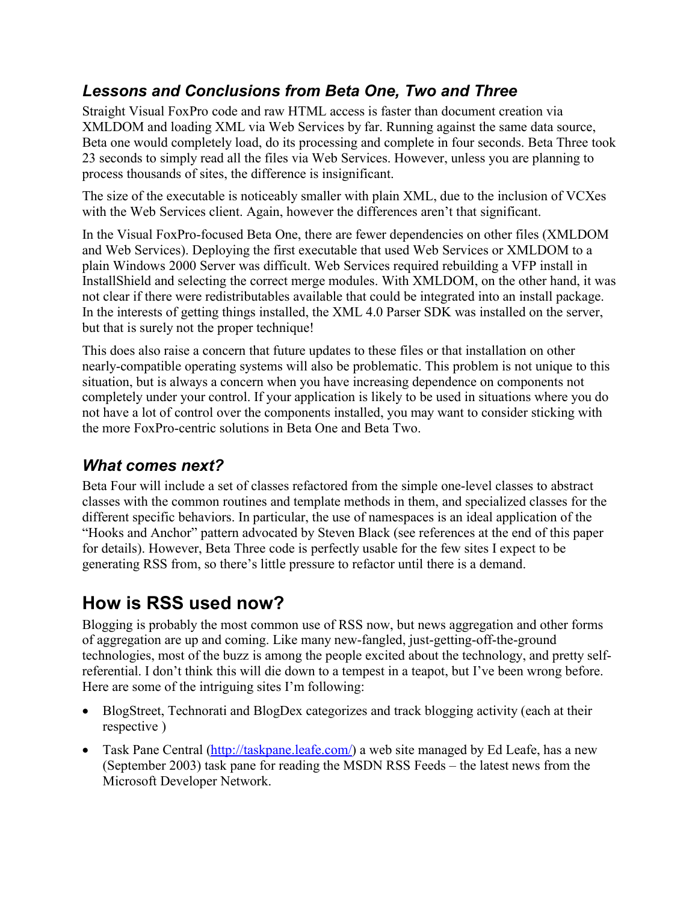#### *Lessons and Conclusions from Beta One, Two and Three*

Straight Visual FoxPro code and raw HTML access is faster than document creation via XMLDOM and loading XML via Web Services by far. Running against the same data source, Beta one would completely load, do its processing and complete in four seconds. Beta Three took 23 seconds to simply read all the files via Web Services. However, unless you are planning to process thousands of sites, the difference is insignificant.

The size of the executable is noticeably smaller with plain XML, due to the inclusion of VCXes with the Web Services client. Again, however the differences aren't that significant.

In the Visual FoxPro-focused Beta One, there are fewer dependencies on other files (XMLDOM and Web Services). Deploying the first executable that used Web Services or XMLDOM to a plain Windows 2000 Server was difficult. Web Services required rebuilding a VFP install in InstallShield and selecting the correct merge modules. With XMLDOM, on the other hand, it was not clear if there were redistributables available that could be integrated into an install package. In the interests of getting things installed, the XML 4.0 Parser SDK was installed on the server, but that is surely not the proper technique!

This does also raise a concern that future updates to these files or that installation on other nearly-compatible operating systems will also be problematic. This problem is not unique to this situation, but is always a concern when you have increasing dependence on components not completely under your control. If your application is likely to be used in situations where you do not have a lot of control over the components installed, you may want to consider sticking with the more FoxPro-centric solutions in Beta One and Beta Two.

#### *What comes next?*

Beta Four will include a set of classes refactored from the simple one-level classes to abstract classes with the common routines and template methods in them, and specialized classes for the different specific behaviors. In particular, the use of namespaces is an ideal application of the "Hooks and Anchor" pattern advocated by Steven Black (see references at the end of this paper for details). However, Beta Three code is perfectly usable for the few sites I expect to be generating RSS from, so there's little pressure to refactor until there is a demand.

# **How is RSS used now?**

Blogging is probably the most common use of RSS now, but news aggregation and other forms of aggregation are up and coming. Like many new-fangled, just-getting-off-the-ground technologies, most of the buzz is among the people excited about the technology, and pretty selfreferential. I don't think this will die down to a tempest in a teapot, but I've been wrong before. Here are some of the intriguing sites I'm following:

- BlogStreet, Technorati and BlogDex categorizes and track blogging activity (each at their respective )
- Task Pane Central (http://taskpane.leafe.com/) a web site managed by Ed Leafe, has a new (September 2003) task pane for reading the MSDN RSS Feeds – the latest news from the Microsoft Developer Network.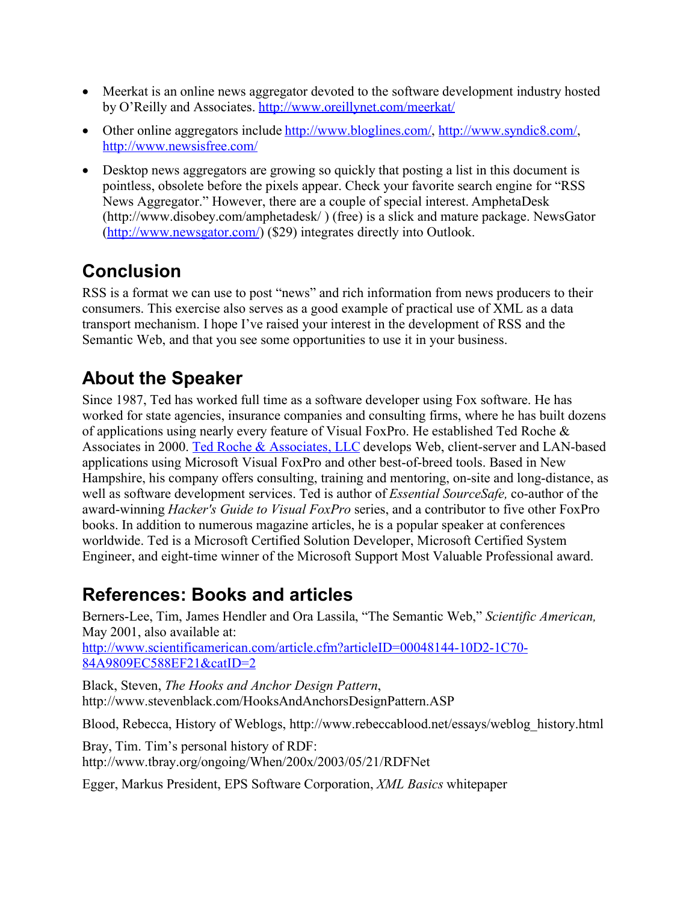- Meerkat is an online news aggregator devoted to the software development industry hosted by O'Reilly and Associates. http://www.oreillynet.com/meerkat/
- Other online aggregators include http://www.bloglines.com/, http://www.syndic8.com/, http://www.newsisfree.com/
- Desktop news aggregators are growing so quickly that posting a list in this document is pointless, obsolete before the pixels appear. Check your favorite search engine for "RSS News Aggregator." However, there are a couple of special interest. AmphetaDesk (http://www.disobey.com/amphetadesk/ ) (free) is a slick and mature package. NewsGator (http://www.newsgator.com/) (\$29) integrates directly into Outlook.

# **Conclusion**

RSS is a format we can use to post "news" and rich information from news producers to their consumers. This exercise also serves as a good example of practical use of XML as a data transport mechanism. I hope I've raised your interest in the development of RSS and the Semantic Web, and that you see some opportunities to use it in your business.

# **About the Speaker**

Since 1987, Ted has worked full time as a software developer using Fox software. He has worked for state agencies, insurance companies and consulting firms, where he has built dozens of applications using nearly every feature of Visual FoxPro. He established Ted Roche & Associates in 2000. Ted Roche & Associates, LLC develops Web, client-server and LAN-based applications using Microsoft Visual FoxPro and other best-of-breed tools. Based in New Hampshire, his company offers consulting, training and mentoring, on-site and long-distance, as well as software development services. Ted is author of *Essential SourceSafe,* co-author of the award-winning *Hacker's Guide to Visual FoxPro* series, and a contributor to five other FoxPro books. In addition to numerous magazine articles, he is a popular speaker at conferences worldwide. Ted is a Microsoft Certified Solution Developer, Microsoft Certified System Engineer, and eight-time winner of the Microsoft Support Most Valuable Professional award.

## **References: Books and articles**

Berners-Lee, Tim, James Hendler and Ora Lassila, "The Semantic Web," *Scientific American,* May 2001, also available at: http://www.scientificamerican.com/article.cfm?articleID=00048144-10D2-1C70- 84A9809EC588EF21&catID=2

Black, Steven, *The Hooks and Anchor Design Pattern*, http://www.stevenblack.com/HooksAndAnchorsDesignPattern.ASP

Blood, Rebecca, History of Weblogs, http://www.rebeccablood.net/essays/weblog\_history.html

Bray, Tim. Tim's personal history of RDF: http://www.tbray.org/ongoing/When/200x/2003/05/21/RDFNet

Egger, Markus President, EPS Software Corporation, *XML Basics* whitepaper